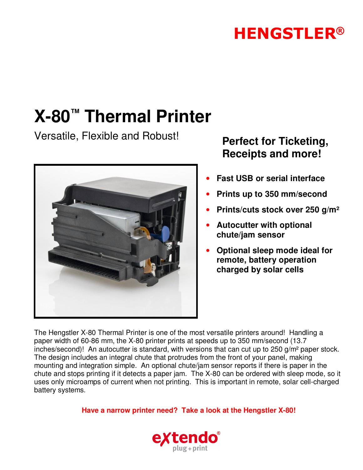## **HENGSTLER®**

# **X-80™ Thermal Printer**

Versatile, Flexible and Robust! **Perfect for Ticketing,**



# **Receipts and more!**

- **Fast USB or serial interface**
- **Prints up to 350 mm/second**
- **Prints/cuts stock over 250 g/m²**
- **Autocutter with optional chute/jam sensor**
- **Optional sleep mode ideal for remote, battery operation charged by solar cells**

The Hengstler X-80 Thermal Printer is one of the most versatile printers around! Handling a paper width of 60-86 mm, the X-80 printer prints at speeds up to 350 mm/second (13.7 inches/second)! An autocutter is standard, with versions that can cut up to 250 g/m² paper stock. The design includes an integral chute that protrudes from the front of your panel, making mounting and integration simple. An optional chute/jam sensor reports if there is paper in the chute and stops printing if it detects a paper jam. The X-80 can be ordered with sleep mode, so it uses only microamps of current when not printing. This is important in remote, solar cell-charged battery systems.

**Have a narrow printer need? Take a look at the Hengstler X-80!**